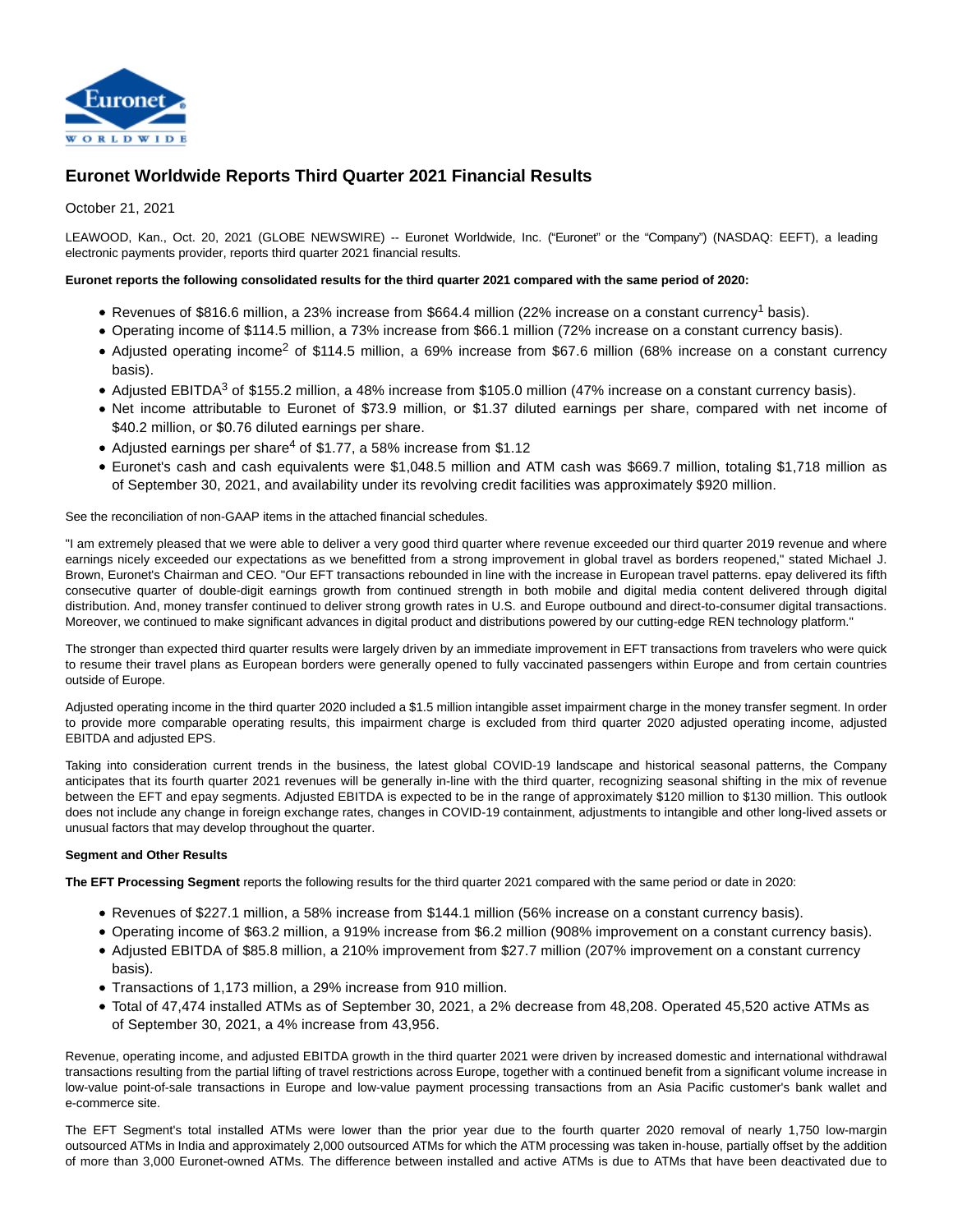

# **Euronet Worldwide Reports Third Quarter 2021 Financial Results**

# October 21, 2021

LEAWOOD, Kan., Oct. 20, 2021 (GLOBE NEWSWIRE) -- Euronet Worldwide, Inc. ("Euronet" or the "Company") (NASDAQ: EEFT), a leading electronic payments provider, reports third quarter 2021 financial results.

### **Euronet reports the following consolidated results for the third quarter 2021 compared with the same period of 2020:**

- Revenues of \$816.6 million, a 23% increase from \$664.4 million (22% increase on a constant currency<sup>1</sup> basis).
- Operating income of \$114.5 million, a 73% increase from \$66.1 million (72% increase on a constant currency basis).
- Adjusted operating income<sup>2</sup> of \$114.5 million, a 69% increase from \$67.6 million (68% increase on a constant currency basis).
- Adjusted EBITDA<sup>3</sup> of \$155.2 million, a 48% increase from \$105.0 million (47% increase on a constant currency basis).
- Net income attributable to Euronet of \$73.9 million, or \$1.37 diluted earnings per share, compared with net income of \$40.2 million, or \$0.76 diluted earnings per share.
- Adjusted earnings per share<sup>4</sup> of \$1.77, a 58% increase from \$1.12
- Euronet's cash and cash equivalents were \$1,048.5 million and ATM cash was \$669.7 million, totaling \$1,718 million as of September 30, 2021, and availability under its revolving credit facilities was approximately \$920 million.

See the reconciliation of non-GAAP items in the attached financial schedules.

"I am extremely pleased that we were able to deliver a very good third quarter where revenue exceeded our third quarter 2019 revenue and where earnings nicely exceeded our expectations as we benefitted from a strong improvement in global travel as borders reopened," stated Michael J. Brown, Euronet's Chairman and CEO. "Our EFT transactions rebounded in line with the increase in European travel patterns. epay delivered its fifth consecutive quarter of double-digit earnings growth from continued strength in both mobile and digital media content delivered through digital distribution. And, money transfer continued to deliver strong growth rates in U.S. and Europe outbound and direct-to-consumer digital transactions. Moreover, we continued to make significant advances in digital product and distributions powered by our cutting-edge REN technology platform."

The stronger than expected third quarter results were largely driven by an immediate improvement in EFT transactions from travelers who were quick to resume their travel plans as European borders were generally opened to fully vaccinated passengers within Europe and from certain countries outside of Europe.

Adjusted operating income in the third quarter 2020 included a \$1.5 million intangible asset impairment charge in the money transfer segment. In order to provide more comparable operating results, this impairment charge is excluded from third quarter 2020 adjusted operating income, adjusted EBITDA and adjusted EPS.

Taking into consideration current trends in the business, the latest global COVID-19 landscape and historical seasonal patterns, the Company anticipates that its fourth quarter 2021 revenues will be generally in-line with the third quarter, recognizing seasonal shifting in the mix of revenue between the EFT and epay segments. Adjusted EBITDA is expected to be in the range of approximately \$120 million to \$130 million. This outlook does not include any change in foreign exchange rates, changes in COVID-19 containment, adjustments to intangible and other long-lived assets or unusual factors that may develop throughout the quarter.

#### **Segment and Other Results**

**The EFT Processing Segment** reports the following results for the third quarter 2021 compared with the same period or date in 2020:

- Revenues of \$227.1 million, a 58% increase from \$144.1 million (56% increase on a constant currency basis).
- Operating income of \$63.2 million, a 919% increase from \$6.2 million (908% improvement on a constant currency basis).
- Adjusted EBITDA of \$85.8 million, a 210% improvement from \$27.7 million (207% improvement on a constant currency basis).
- Transactions of 1,173 million, a 29% increase from 910 million.
- Total of 47,474 installed ATMs as of September 30, 2021, a 2% decrease from 48,208. Operated 45,520 active ATMs as of September 30, 2021, a 4% increase from 43,956.

Revenue, operating income, and adjusted EBITDA growth in the third quarter 2021 were driven by increased domestic and international withdrawal transactions resulting from the partial lifting of travel restrictions across Europe, together with a continued benefit from a significant volume increase in low-value point-of-sale transactions in Europe and low-value payment processing transactions from an Asia Pacific customer's bank wallet and e-commerce site.

The EFT Segment's total installed ATMs were lower than the prior year due to the fourth quarter 2020 removal of nearly 1,750 low-margin outsourced ATMs in India and approximately 2,000 outsourced ATMs for which the ATM processing was taken in-house, partially offset by the addition of more than 3,000 Euronet-owned ATMs. The difference between installed and active ATMs is due to ATMs that have been deactivated due to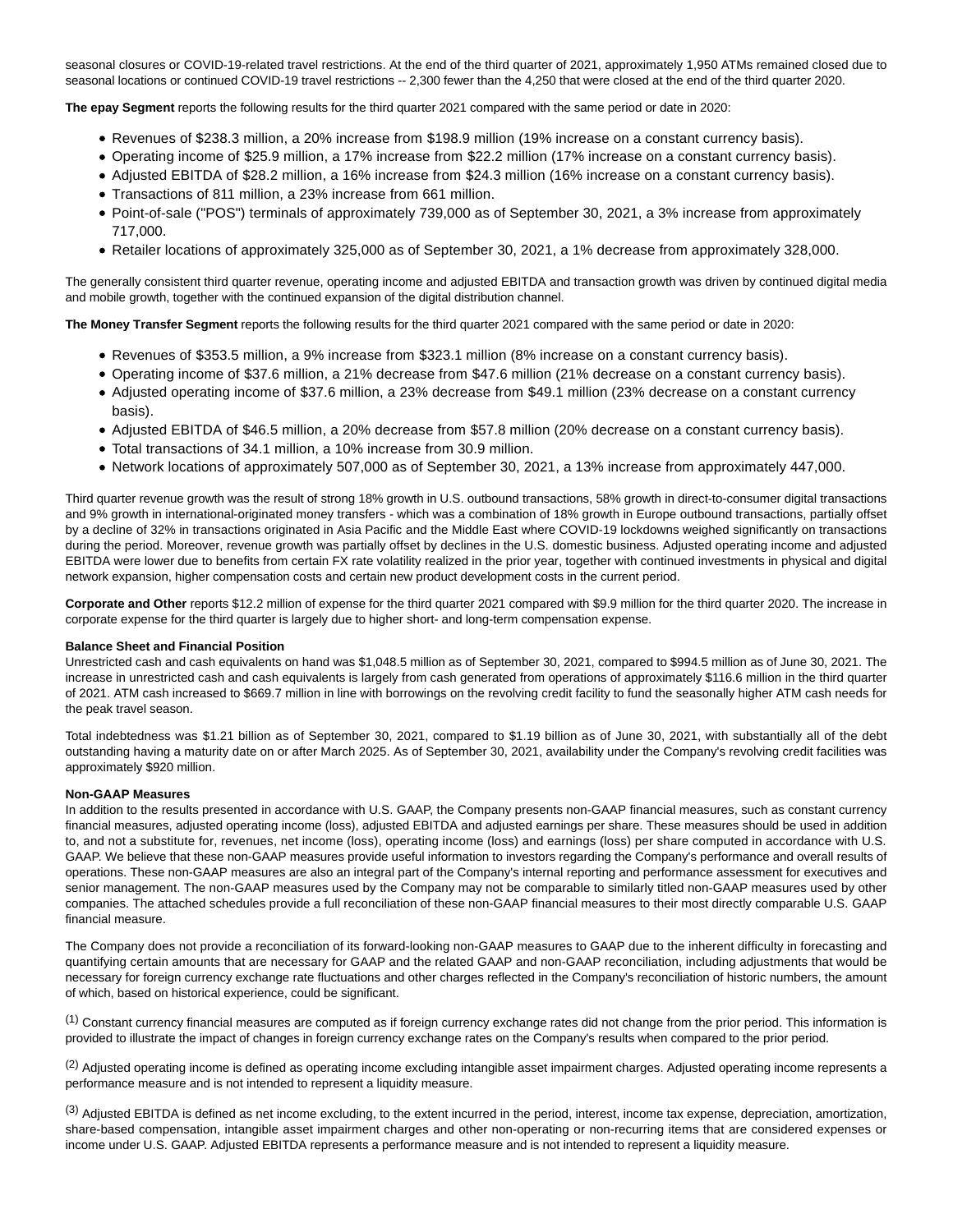seasonal closures or COVID-19-related travel restrictions. At the end of the third quarter of 2021, approximately 1,950 ATMs remained closed due to seasonal locations or continued COVID-19 travel restrictions -- 2,300 fewer than the 4,250 that were closed at the end of the third quarter 2020.

**The epay Segment** reports the following results for the third quarter 2021 compared with the same period or date in 2020:

- Revenues of \$238.3 million, a 20% increase from \$198.9 million (19% increase on a constant currency basis).
- Operating income of \$25.9 million, a 17% increase from \$22.2 million (17% increase on a constant currency basis).
- Adjusted EBITDA of \$28.2 million, a 16% increase from \$24.3 million (16% increase on a constant currency basis).
- Transactions of 811 million, a 23% increase from 661 million.
- Point-of-sale ("POS") terminals of approximately 739,000 as of September 30, 2021, a 3% increase from approximately 717,000.
- Retailer locations of approximately 325,000 as of September 30, 2021, a 1% decrease from approximately 328,000.

The generally consistent third quarter revenue, operating income and adjusted EBITDA and transaction growth was driven by continued digital media and mobile growth, together with the continued expansion of the digital distribution channel.

**The Money Transfer Segment** reports the following results for the third quarter 2021 compared with the same period or date in 2020:

- Revenues of \$353.5 million, a 9% increase from \$323.1 million (8% increase on a constant currency basis).
- Operating income of \$37.6 million, a 21% decrease from \$47.6 million (21% decrease on a constant currency basis).
- Adjusted operating income of \$37.6 million, a 23% decrease from \$49.1 million (23% decrease on a constant currency basis).
- Adjusted EBITDA of \$46.5 million, a 20% decrease from \$57.8 million (20% decrease on a constant currency basis).
- Total transactions of 34.1 million, a 10% increase from 30.9 million.
- Network locations of approximately 507,000 as of September 30, 2021, a 13% increase from approximately 447,000.

Third quarter revenue growth was the result of strong 18% growth in U.S. outbound transactions, 58% growth in direct-to-consumer digital transactions and 9% growth in international-originated money transfers - which was a combination of 18% growth in Europe outbound transactions, partially offset by a decline of 32% in transactions originated in Asia Pacific and the Middle East where COVID-19 lockdowns weighed significantly on transactions during the period. Moreover, revenue growth was partially offset by declines in the U.S. domestic business. Adjusted operating income and adjusted EBITDA were lower due to benefits from certain FX rate volatility realized in the prior year, together with continued investments in physical and digital network expansion, higher compensation costs and certain new product development costs in the current period.

**Corporate and Other** reports \$12.2 million of expense for the third quarter 2021 compared with \$9.9 million for the third quarter 2020. The increase in corporate expense for the third quarter is largely due to higher short- and long-term compensation expense.

#### **Balance Sheet and Financial Position**

Unrestricted cash and cash equivalents on hand was \$1,048.5 million as of September 30, 2021, compared to \$994.5 million as of June 30, 2021. The increase in unrestricted cash and cash equivalents is largely from cash generated from operations of approximately \$116.6 million in the third quarter of 2021. ATM cash increased to \$669.7 million in line with borrowings on the revolving credit facility to fund the seasonally higher ATM cash needs for the peak travel season.

Total indebtedness was \$1.21 billion as of September 30, 2021, compared to \$1.19 billion as of June 30, 2021, with substantially all of the debt outstanding having a maturity date on or after March 2025. As of September 30, 2021, availability under the Company's revolving credit facilities was approximately \$920 million.

#### **Non-GAAP Measures**

In addition to the results presented in accordance with U.S. GAAP, the Company presents non-GAAP financial measures, such as constant currency financial measures, adjusted operating income (loss), adjusted EBITDA and adjusted earnings per share. These measures should be used in addition to, and not a substitute for, revenues, net income (loss), operating income (loss) and earnings (loss) per share computed in accordance with U.S. GAAP. We believe that these non-GAAP measures provide useful information to investors regarding the Company's performance and overall results of operations. These non-GAAP measures are also an integral part of the Company's internal reporting and performance assessment for executives and senior management. The non-GAAP measures used by the Company may not be comparable to similarly titled non-GAAP measures used by other companies. The attached schedules provide a full reconciliation of these non-GAAP financial measures to their most directly comparable U.S. GAAP financial measure.

The Company does not provide a reconciliation of its forward-looking non-GAAP measures to GAAP due to the inherent difficulty in forecasting and quantifying certain amounts that are necessary for GAAP and the related GAAP and non-GAAP reconciliation, including adjustments that would be necessary for foreign currency exchange rate fluctuations and other charges reflected in the Company's reconciliation of historic numbers, the amount of which, based on historical experience, could be significant.

 $<sup>(1)</sup>$  Constant currency financial measures are computed as if foreign currency exchange rates did not change from the prior period. This information is</sup> provided to illustrate the impact of changes in foreign currency exchange rates on the Company's results when compared to the prior period.

 $^{(2)}$  Adjusted operating income is defined as operating income excluding intangible asset impairment charges. Adjusted operating income represents a performance measure and is not intended to represent a liquidity measure.

<sup>(3)</sup> Adjusted EBITDA is defined as net income excluding, to the extent incurred in the period, interest, income tax expense, depreciation, amortization, share-based compensation, intangible asset impairment charges and other non-operating or non-recurring items that are considered expenses or income under U.S. GAAP. Adjusted EBITDA represents a performance measure and is not intended to represent a liquidity measure.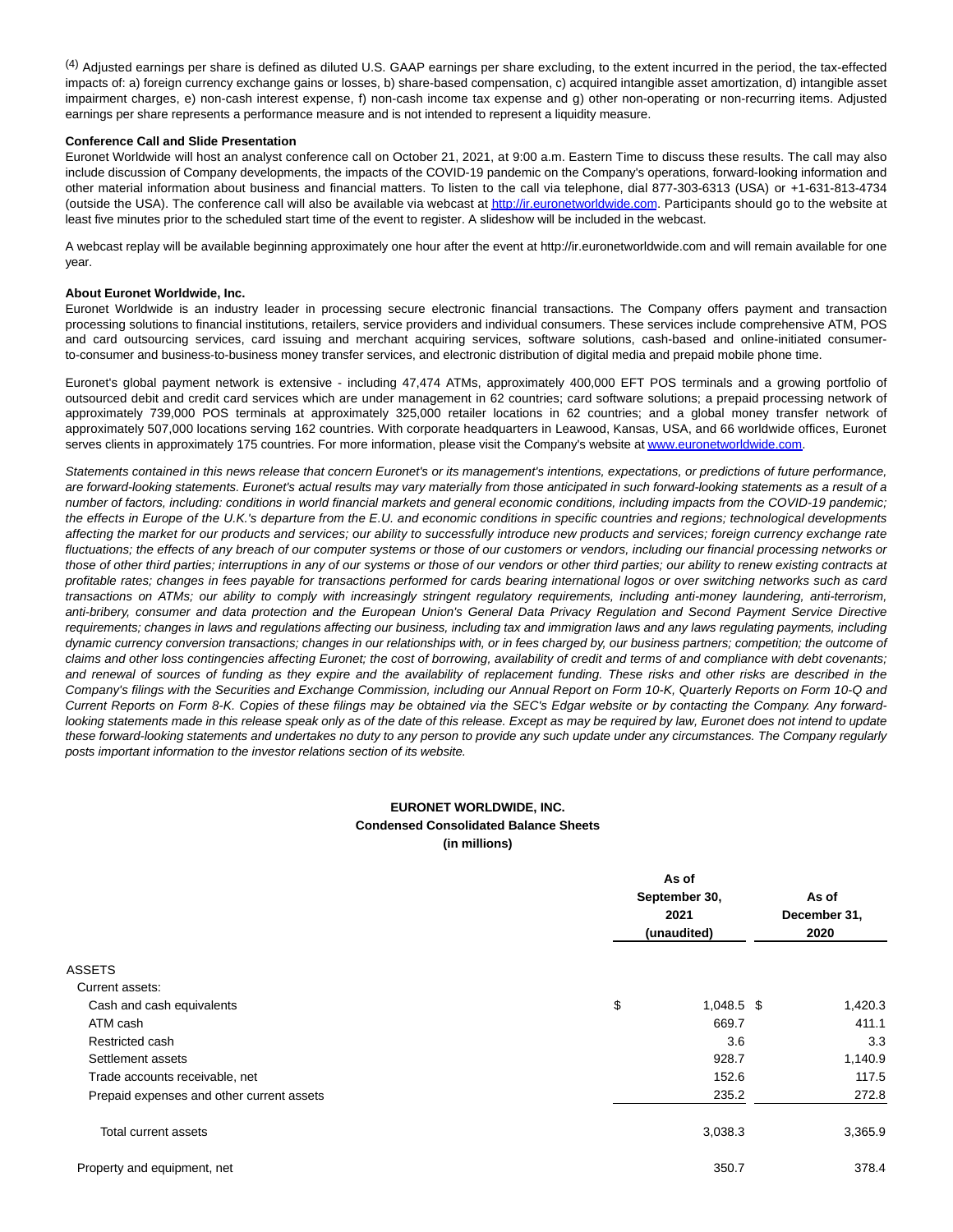$^{(4)}$  Adjusted earnings per share is defined as diluted U.S. GAAP earnings per share excluding, to the extent incurred in the period, the tax-effected impacts of: a) foreign currency exchange gains or losses, b) share-based compensation, c) acquired intangible asset amortization, d) intangible asset impairment charges, e) non-cash interest expense, f) non-cash income tax expense and g) other non-operating or non-recurring items. Adjusted earnings per share represents a performance measure and is not intended to represent a liquidity measure.

#### **Conference Call and Slide Presentation**

Euronet Worldwide will host an analyst conference call on October 21, 2021, at 9:00 a.m. Eastern Time to discuss these results. The call may also include discussion of Company developments, the impacts of the COVID-19 pandemic on the Company's operations, forward-looking information and other material information about business and financial matters. To listen to the call via telephone, dial 877-303-6313 (USA) or +1-631-813-4734 (outside the USA). The conference call will also be available via webcast at [http://ir.euronetworldwide.com.](http://ir.euronetworldwide.com/) Participants should go to the website at least five minutes prior to the scheduled start time of the event to register. A slideshow will be included in the webcast.

A webcast replay will be available beginning approximately one hour after the event at http://ir.euronetworldwide.com and will remain available for one year.

#### **About Euronet Worldwide, Inc.**

Euronet Worldwide is an industry leader in processing secure electronic financial transactions. The Company offers payment and transaction processing solutions to financial institutions, retailers, service providers and individual consumers. These services include comprehensive ATM, POS and card outsourcing services, card issuing and merchant acquiring services, software solutions, cash-based and online-initiated consumerto-consumer and business-to-business money transfer services, and electronic distribution of digital media and prepaid mobile phone time.

Euronet's global payment network is extensive - including 47,474 ATMs, approximately 400,000 EFT POS terminals and a growing portfolio of outsourced debit and credit card services which are under management in 62 countries; card software solutions; a prepaid processing network of approximately 739,000 POS terminals at approximately 325,000 retailer locations in 62 countries; and a global money transfer network of approximately 507,000 locations serving 162 countries. With corporate headquarters in Leawood, Kansas, USA, and 66 worldwide offices, Euronet serves clients in approximately 175 countries. For more information, please visit the Company's website a[t www.euronetworldwide.com.](http://www.euronetworldwide.com/)

Statements contained in this news release that concern Euronet's or its management's intentions, expectations, or predictions of future performance, are forward-looking statements. Euronet's actual results may vary materially from those anticipated in such forward-looking statements as a result of a number of factors, including: conditions in world financial markets and general economic conditions, including impacts from the COVID-19 pandemic; the effects in Europe of the U.K.'s departure from the E.U. and economic conditions in specific countries and regions; technological developments affecting the market for our products and services; our ability to successfully introduce new products and services; foreign currency exchange rate fluctuations; the effects of any breach of our computer systems or those of our customers or vendors, including our financial processing networks or those of other third parties; interruptions in any of our systems or those of our vendors or other third parties; our ability to renew existing contracts at profitable rates; changes in fees payable for transactions performed for cards bearing international logos or over switching networks such as card transactions on ATMs; our ability to comply with increasingly stringent regulatory requirements, including anti-money laundering, anti-terrorism, anti-bribery, consumer and data protection and the European Union's General Data Privacy Regulation and Second Payment Service Directive requirements; changes in laws and regulations affecting our business, including tax and immigration laws and any laws regulating payments, including dynamic currency conversion transactions; changes in our relationships with, or in fees charged by, our business partners; competition; the outcome of claims and other loss contingencies affecting Euronet; the cost of borrowing, availability of credit and terms of and compliance with debt covenants; and renewal of sources of funding as they expire and the availability of replacement funding. These risks and other risks are described in the Company's filings with the Securities and Exchange Commission, including our Annual Report on Form 10-K, Quarterly Reports on Form 10-Q and Current Reports on Form 8-K. Copies of these filings may be obtained via the SEC's Edgar website or by contacting the Company. Any forwardlooking statements made in this release speak only as of the date of this release. Except as may be required by law, Euronet does not intend to update these forward-looking statements and undertakes no duty to any person to provide any such update under any circumstances. The Company regularly posts important information to the investor relations section of its website.

# **EURONET WORLDWIDE, INC. Condensed Consolidated Balance Sheets (in millions)**

|                                           | As of              |         |  |
|-------------------------------------------|--------------------|---------|--|
|                                           | September 30,      | As of   |  |
|                                           | 2021               |         |  |
|                                           | (unaudited)        | 2020    |  |
| <b>ASSETS</b>                             |                    |         |  |
| Current assets:                           |                    |         |  |
| Cash and cash equivalents                 | \$<br>$1,048.5$ \$ | 1,420.3 |  |
| ATM cash                                  | 669.7              | 411.1   |  |
| Restricted cash                           | 3.6                | 3.3     |  |
| Settlement assets                         | 928.7              | 1,140.9 |  |
| Trade accounts receivable, net            | 152.6              | 117.5   |  |
| Prepaid expenses and other current assets | 235.2              | 272.8   |  |
| Total current assets                      | 3,038.3            | 3,365.9 |  |
| Property and equipment, net               | 350.7              | 378.4   |  |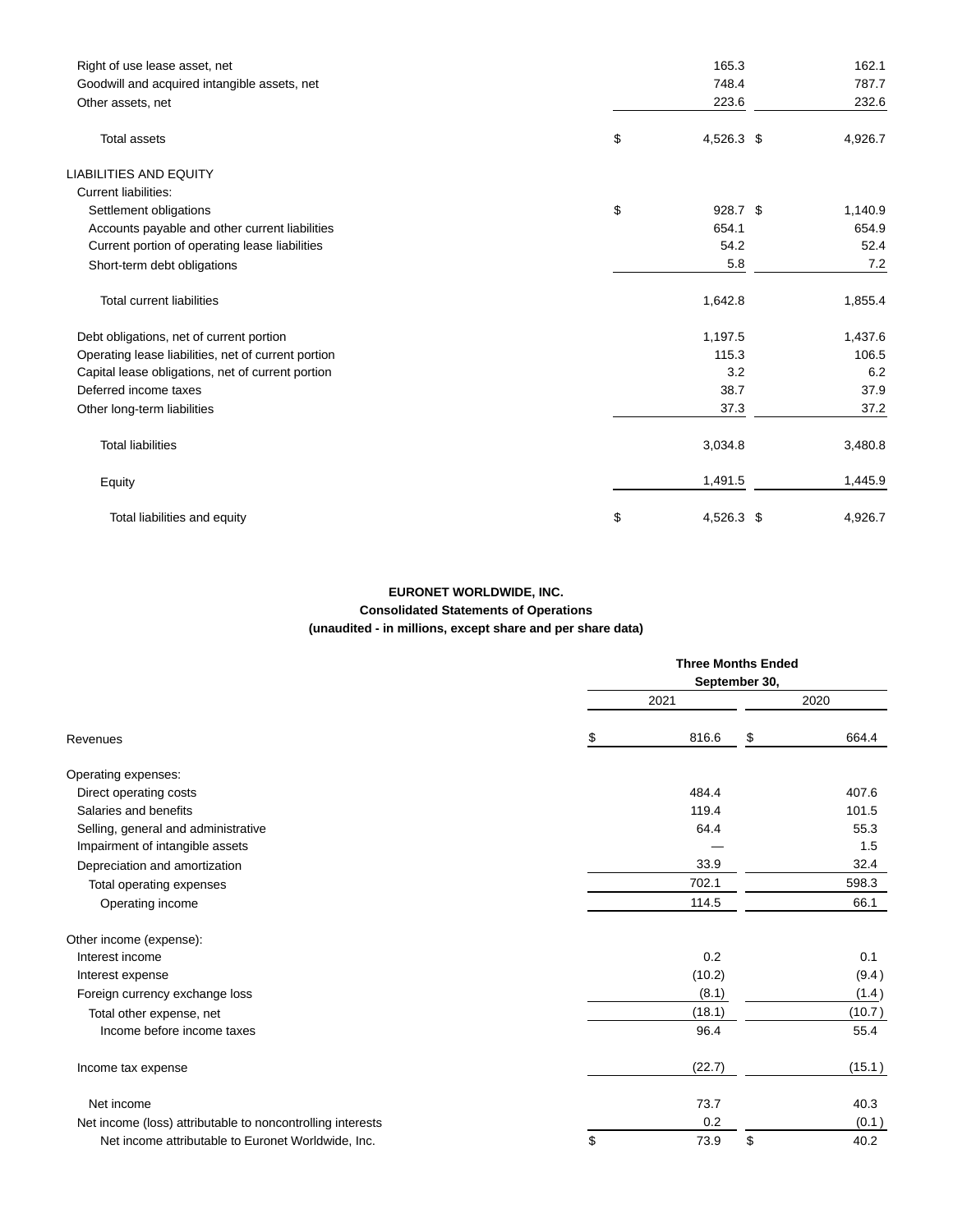| Right of use lease asset, net                       | 165.3            | 162.1   |
|-----------------------------------------------------|------------------|---------|
| Goodwill and acquired intangible assets, net        | 748.4            | 787.7   |
| Other assets, net                                   | 223.6            | 232.6   |
| <b>Total assets</b>                                 | \$<br>4,526.3 \$ | 4,926.7 |
| <b>LIABILITIES AND EQUITY</b>                       |                  |         |
| <b>Current liabilities:</b>                         |                  |         |
| Settlement obligations                              | \$<br>$928.7$ \$ | 1,140.9 |
| Accounts payable and other current liabilities      | 654.1            | 654.9   |
| Current portion of operating lease liabilities      | 54.2             | 52.4    |
| Short-term debt obligations                         | 5.8              | 7.2     |
| <b>Total current liabilities</b>                    | 1,642.8          | 1,855.4 |
| Debt obligations, net of current portion            | 1,197.5          | 1,437.6 |
| Operating lease liabilities, net of current portion | 115.3            | 106.5   |
| Capital lease obligations, net of current portion   | 3.2              | 6.2     |
| Deferred income taxes                               | 38.7             | 37.9    |
| Other long-term liabilities                         | 37.3             | 37.2    |
| <b>Total liabilities</b>                            | 3,034.8          | 3,480.8 |
| Equity                                              | 1,491.5          | 1,445.9 |
| Total liabilities and equity                        | \$<br>4,526.3 \$ | 4,926.7 |

# **EURONET WORLDWIDE, INC. Consolidated Statements of Operations (unaudited - in millions, except share and per share data)**

|                                                            |    | <b>Three Months Ended</b><br>September 30, |    |        |  |  |  |
|------------------------------------------------------------|----|--------------------------------------------|----|--------|--|--|--|
|                                                            |    | 2020                                       |    |        |  |  |  |
| Revenues                                                   | \$ | 816.6                                      | \$ | 664.4  |  |  |  |
| Operating expenses:                                        |    |                                            |    |        |  |  |  |
| Direct operating costs                                     |    | 484.4                                      |    | 407.6  |  |  |  |
| Salaries and benefits                                      |    | 119.4                                      |    | 101.5  |  |  |  |
| Selling, general and administrative                        |    | 64.4                                       |    | 55.3   |  |  |  |
| Impairment of intangible assets                            |    |                                            |    | 1.5    |  |  |  |
| Depreciation and amortization                              |    | 33.9                                       |    | 32.4   |  |  |  |
| Total operating expenses                                   |    | 702.1                                      |    | 598.3  |  |  |  |
| Operating income                                           |    | 114.5                                      |    | 66.1   |  |  |  |
| Other income (expense):                                    |    |                                            |    |        |  |  |  |
| Interest income                                            |    | 0.2                                        |    | 0.1    |  |  |  |
| Interest expense                                           |    | (10.2)                                     |    | (9.4)  |  |  |  |
| Foreign currency exchange loss                             |    | (8.1)                                      |    | (1.4)  |  |  |  |
| Total other expense, net                                   |    | (18.1)                                     |    | (10.7) |  |  |  |
| Income before income taxes                                 |    | 96.4                                       |    | 55.4   |  |  |  |
| Income tax expense                                         |    | (22.7)                                     |    | (15.1) |  |  |  |
| Net income                                                 |    | 73.7                                       |    | 40.3   |  |  |  |
| Net income (loss) attributable to noncontrolling interests |    | 0.2                                        |    | (0.1)  |  |  |  |
| Net income attributable to Euronet Worldwide, Inc.         | \$ | 73.9                                       | \$ | 40.2   |  |  |  |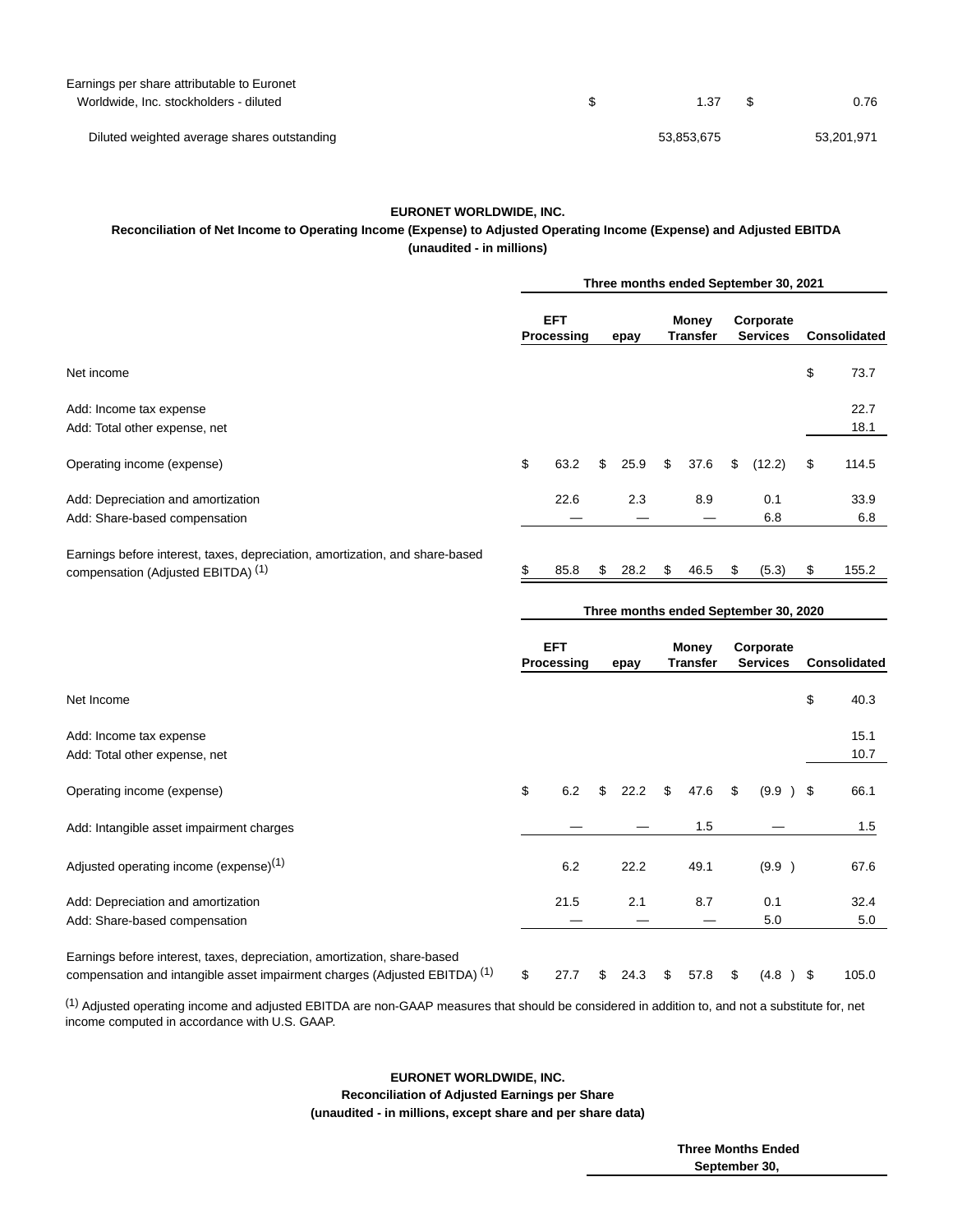| Earnings per share attributable to Euronet  |            |            |
|---------------------------------------------|------------|------------|
| Worldwide, Inc. stockholders - diluted      | 1.37       | 0.76       |
|                                             |            |            |
| Diluted weighted average shares outstanding | 53.853.675 | 53.201.971 |

### **EURONET WORLDWIDE, INC.**

# **Reconciliation of Net Income to Operating Income (Expense) to Adjusted Operating Income (Expense) and Adjusted EBITDA (unaudited - in millions)**

|                                                                                                                               | Three months ended September 30, 2021 |                          |     |      |    |                          |    |                              |                     |
|-------------------------------------------------------------------------------------------------------------------------------|---------------------------------------|--------------------------|-----|------|----|--------------------------|----|------------------------------|---------------------|
|                                                                                                                               |                                       | <b>EFT</b><br>Processing |     | epay |    | Money<br><b>Transfer</b> |    | Corporate<br><b>Services</b> | <b>Consolidated</b> |
| Net income                                                                                                                    |                                       |                          |     |      |    |                          |    |                              | \$<br>73.7          |
| Add: Income tax expense                                                                                                       |                                       |                          |     |      |    |                          |    |                              | 22.7                |
| Add: Total other expense, net                                                                                                 |                                       |                          |     |      |    |                          |    |                              | 18.1                |
| Operating income (expense)                                                                                                    | \$                                    | 63.2                     | \$  | 25.9 | \$ | 37.6                     | \$ | (12.2)                       | \$<br>114.5         |
| Add: Depreciation and amortization                                                                                            |                                       | 22.6                     |     | 2.3  |    | 8.9                      |    | 0.1                          | 33.9                |
| Add: Share-based compensation                                                                                                 |                                       |                          |     |      |    |                          |    | 6.8                          | 6.8                 |
| Earnings before interest, taxes, depreciation, amortization, and share-based<br>compensation (Adjusted EBITDA) <sup>(1)</sup> | \$                                    | 85.8                     | \$. | 28.2 | \$ | 46.5                     | S  | (5.3)                        | \$<br>155.2         |

|                                                    | <b>EFT</b><br>Processing<br>epay |            | Money<br><b>Transfer</b> | Corporate<br><b>Services</b> | Consolidated |      |
|----------------------------------------------------|----------------------------------|------------|--------------------------|------------------------------|--------------|------|
| Net Income                                         |                                  |            |                          |                              | \$           | 40.3 |
| Add: Income tax expense                            |                                  |            |                          |                              |              | 15.1 |
| Add: Total other expense, net                      |                                  |            |                          |                              |              | 10.7 |
| Operating income (expense)                         | \$<br>6.2                        | \$<br>22.2 | \$<br>47.6               | \$<br>$(9.9)$ \$             |              | 66.1 |
| Add: Intangible asset impairment charges           |                                  |            | 1.5                      |                              |              | 1.5  |
| Adjusted operating income (expense) <sup>(1)</sup> | 6.2                              | 22.2       | 49.1                     | (9.9)                        |              | 67.6 |
| Add: Depreciation and amortization                 | 21.5                             | 2.1        | 8.7                      | 0.1                          |              | 32.4 |
| Add: Share-based compensation                      |                                  |            |                          | 5.0                          |              | 5.0  |

compensation and intangible asset impairment charges (Adjusted EBITDA)  $(1)$  \$ 27.7 \$ 24.3 \$ 57.8 \$  $(4.8)$  \$ 105.0

(1) Adjusted operating income and adjusted EBITDA are non-GAAP measures that should be considered in addition to, and not a substitute for, net income computed in accordance with U.S. GAAP.

# **EURONET WORLDWIDE, INC.**

 **Reconciliation of Adjusted Earnings per Share (unaudited - in millions, except share and per share data)**

> **Three Months Ended September 30,**

**Three months ended September 30, 2020**